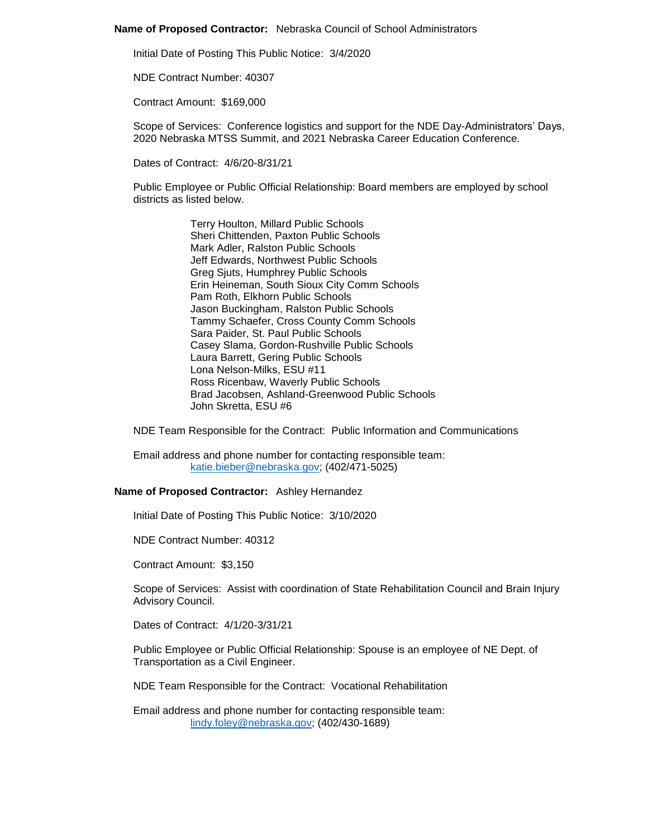## **Name of Proposed Contractor:** Nebraska Council of School Administrators

Initial Date of Posting This Public Notice: 3/4/2020

NDE Contract Number: 40307

Contract Amount: \$169,000

Scope of Services: Conference logistics and support for the NDE Day-Administrators' Days, 2020 Nebraska MTSS Summit, and 2021 Nebraska Career Education Conference.

Dates of Contract: 4/6/20-8/31/21

Public Employee or Public Official Relationship: Board members are employed by school districts as listed below.

> Terry Houlton, Millard Public Schools Sheri Chittenden, Paxton Public Schools Mark Adler, Ralston Public Schools Jeff Edwards, Northwest Public Schools Greg Sjuts, Humphrey Public Schools Erin Heineman, South Sioux City Comm Schools Pam Roth, Elkhorn Public Schools Jason Buckingham, Ralston Public Schools Tammy Schaefer, Cross County Comm Schools Sara Paider, St. Paul Public Schools Casey Slama, Gordon-Rushville Public Schools Laura Barrett, Gering Public Schools Lona Nelson-Milks, ESU #11 Ross Ricenbaw, Waverly Public Schools Brad Jacobsen, Ashland-Greenwood Public Schools John Skretta, ESU #6

NDE Team Responsible for the Contract: Public Information and Communications

Email address and phone number for contacting responsible team: [katie.bieber@nebraska.gov;](mailto:katie.bieber@nebraska.gov) (402/471-5025)

## **Name of Proposed Contractor:** Ashley Hernandez

Initial Date of Posting This Public Notice: 3/10/2020

NDE Contract Number: 40312

Contract Amount: \$3,150

Scope of Services: Assist with coordination of State Rehabilitation Council and Brain Injury Advisory Council.

Dates of Contract: 4/1/20-3/31/21

Public Employee or Public Official Relationship: Spouse is an employee of NE Dept. of Transportation as a Civil Engineer.

NDE Team Responsible for the Contract: Vocational Rehabilitation

Email address and phone number for contacting responsible team: [lindy.foley@nebraska.gov;](mailto:lindy.foley@nebraska.gov) (402/430-1689)